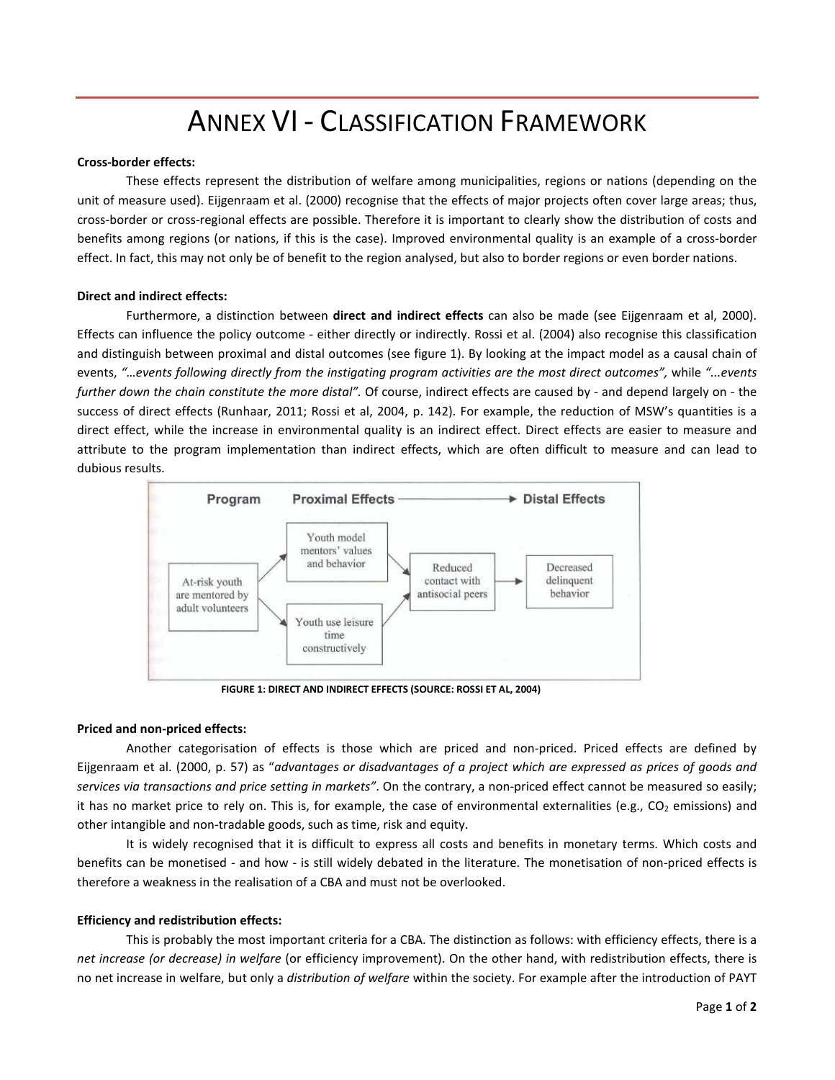# ANNEX VI - CLASSIFICATION FRAMEWORK

## **Cross-border effects:**

These effects represent the distribution of welfare among municipalities, regions or nations (depending on the unit of measure used). Eijgenraam et al. (2000) recognise that the effects of major projects often cover large areas; thus, cross-border or cross-regional effects are possible. Therefore it is important to clearly show the distribution of costs and benefits among regions (or nations, if this is the case). Improved environmental quality is an example of a cross-border effect. In fact, this may not only be of benefit to the region analysed, but also to border regions or even border nations.

### **Direct and indirect effects:**

Furthermore, a distinction between **direct and indirect effects** can also be made (see Eijgenraam et al, 2000). Effects can influence the policy outcome - either directly or indirectly. Rossi et al. (2004) also recognise this classification and distinguish between proximal and distal outcomes (see figure 1). By looking at the impact model as a causal chain of events, *"…events following directly from the instigating program activities are the most direct outcomes",* while *"...events further down the chain constitute the more distal".* Of course, indirect effects are caused by - and depend largely on - the success of direct effects (Runhaar, 2011; Rossi et al, 2004, p. 142). For example, the reduction of MSW's quantities is a direct effect, while the increase in environmental quality is an indirect effect. Direct effects are easier to measure and attribute to the program implementation than indirect effects, which are often difficult to measure and can lead to dubious results.



**FIGURE 1: DIRECT AND INDIRECT EFFECTS (SOURCE: ROSSI ET AL, 2004)**

### **Priced and non-priced effects:**

Another categorisation of effects is those which are priced and non-priced. Priced effects are defined by Eijgenraam et al. (2000, p. 57) as "*advantages or disadvantages of a project which are expressed as prices of goods and services via transactions and price setting in markets"*. On the contrary, a non-priced effect cannot be measured so easily; it has no market price to rely on. This is, for example, the case of environmental externalities (e.g.,  $CO<sub>2</sub>$  emissions) and other intangible and non-tradable goods, such as time, risk and equity.

It is widely recognised that it is difficult to express all costs and benefits in monetary terms. Which costs and benefits can be monetised - and how - is still widely debated in the literature. The monetisation of non-priced effects is therefore a weakness in the realisation of a CBA and must not be overlooked.

## **Efficiency and redistribution effects:**

This is probably the most important criteria for a CBA. The distinction as follows: with efficiency effects, there is a *net increase (or decrease) in welfare* (or efficiency improvement). On the other hand, with redistribution effects, there is no net increase in welfare, but only a *distribution of welfare* within the society. For example after the introduction of PAYT